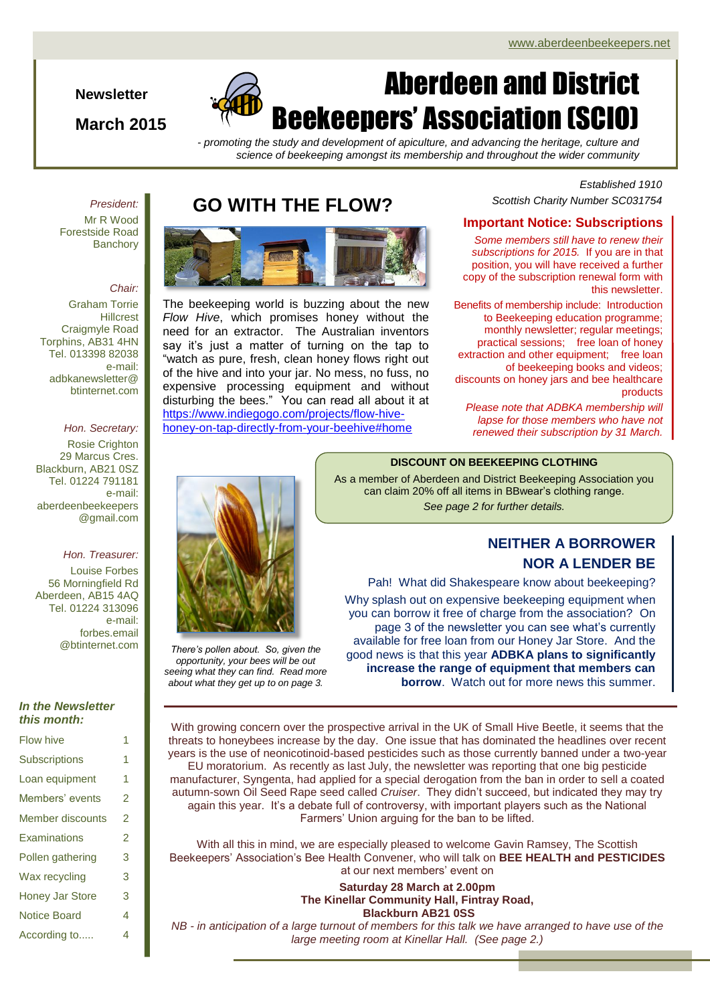# Aberdeen and District Beekeepers' Association (SCIO)

*- promoting the study and development of apiculture, and advancing the heritage, culture and science of beekeeping amongst its membership and throughout the wider community*

> *Established 1910 Scottish Charity Number SC031754*

#### **Important Notice: Subscriptions**

*Some members still have to renew their subscriptions for 2015.* If you are in that position, you will have received a further copy of the subscription renewal form with this newsletter.

Benefits of membership include:Introduction to Beekeeping education programme; monthly newsletter; regular meetings; practical sessions; free loan of honey extraction and other equipment; free loan of beekeeping books and videos; discounts on honey jars and bee healthcare products

*Please note that ADBKA membership will lapse for those members who have not renewed their subscription by 31 March.*

#### **DISCOUNT ON BEEKEEPING CLOTHING**

As a member of Aberdeen and District Beekeeping Association you can claim 20% off all items in BBwear's clothing range. *See page 2 for further details.*

## **NEITHER A BORROWER NOR A LENDER BE**

Pah! What did Shakespeare know about beekeeping?

Why splash out on expensive beekeeping equipment when you can borrow it free of charge from the association? On page 3 of the newsletter you can see what's currently available for free loan from our Honey Jar Store. And the good news is that this year **ADBKA plans to significantly increase the range of equipment that members can borrow**. Watch out for more news this summer.

## **GO WITH THE FLOW?**



The beekeeping world is buzzing about the new *Flow Hive*, which promises honey without the need for an extractor. The Australian inventors say it's just a matter of turning on the tap to "watch as pure, fresh, clean honey flows right out of the hive and into your jar. No mess, no fuss, no expensive processing equipment and without disturbing the bees." You can read all about it at [https://www.indiegogo.com/projects/flow-hive](https://www.indiegogo.com/projects/flow-hive-honey-on-tap-directly-from-your-beehive#home)[honey-on-tap-directly-from-your-beehive#home](https://www.indiegogo.com/projects/flow-hive-honey-on-tap-directly-from-your-beehive#home)

*President:*

**Newsletter**

**March 2015**

Mr R Wood Forestside Road **Banchory** 

#### *Chair:*

Graham Torrie **Hillcrest** Craigmyle Road Torphins, AB31 4HN Tel. 013398 82038 e-mail: adbkanewsletter@ btinternet.com

#### *Hon. Secretary:*

Rosie Crighton 29 Marcus Cres. Blackburn, AB21 0SZ Tel. 01224 791181 e-mail: aberdeenbeekeepers @gmail.com

#### *Hon. Treasurer:*

Louise Forbes 56 Morningfield Rd Aberdeen, AB15 4AQ Tel. 01224 313096 e-mail: forbes.email @btinternet.com

#### *In the Newsletter this month:*

| <b>Flow hive</b>       | 1                        |
|------------------------|--------------------------|
| <b>Subscriptions</b>   | 1                        |
| Loan equipment         | 1                        |
| Members' events        | 2                        |
| Member discounts       | 2                        |
| Examinations           | $\overline{\mathcal{L}}$ |
| Pollen gathering       | 3                        |
| Wax recycling          | 3                        |
| <b>Honey Jar Store</b> | 3                        |
| <b>Notice Board</b>    | 4                        |
| According to           | 4                        |



*There's pollen about. So, given the opportunity, your bees will be out seeing what they can find. Read more about what they get up to on page 3.*

With growing concern over the prospective arrival in the UK of Small Hive Beetle, it seems that the threats to honeybees increase by the day. One issue that has dominated the headlines over recent years is the use of neonicotinoid-based pesticides such as those currently banned under a two-year EU moratorium. As recently as last July, the newsletter was reporting that one big pesticide manufacturer, Syngenta, had applied for a special derogation from the ban in order to sell a coated autumn-sown Oil Seed Rape seed called *Cruiser*. They didn't succeed, but indicated they may try again this year. It's a debate full of controversy, with important players such as the National Farmers' Union arguing for the ban to be lifted.

With all this in mind, we are especially pleased to welcome Gavin Ramsey, The Scottish Beekeepers' Association's Bee Health Convener, who will talk on **BEE HEALTH and PESTICIDES** at our next members' event on

> **Saturday 28 March at 2.00pm The Kinellar Community Hall, Fintray Road, Blackburn AB21 0SS**

*NB - in anticipation of a large turnout of members for this talk we have arranged to have use of the large meeting room at Kinellar Hall. (See page 2.)*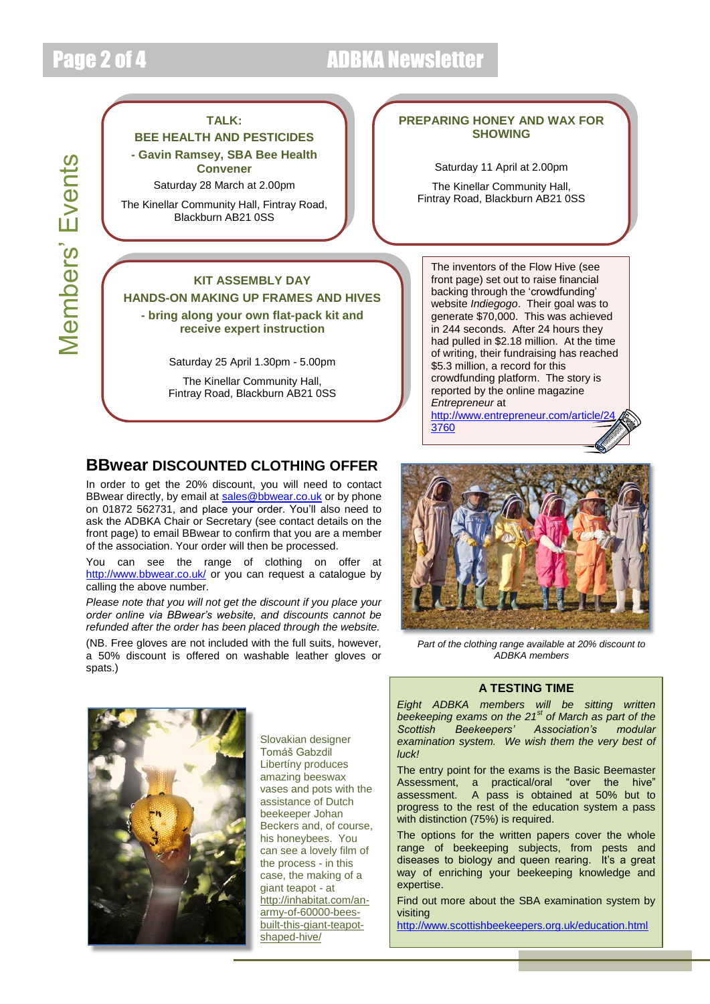Members' Events

**Members' Events** 

## Page 2 of 4 ADBKA Newsletter

#### **TALK:**

**BEE HEALTH AND PESTICIDES - Gavin Ramsey, SBA Bee Health Convener**

Saturday 28 March at 2.00pm

The Kinellar Community Hall, Fintray Road, Blackburn AB21 0SS

#### **KIT ASSEMBLY DAY**

**HANDS-ON MAKING UP FRAMES AND HIVES - bring along your own flat-pack kit and** 

**receive expert instruction**

Saturday 25 April 1.30pm - 5.00pm

The Kinellar Community Hall, Fintray Road, Blackburn AB21 0SS

## **BBwear DISCOUNTED CLOTHING OFFER**

In order to get the 20% discount, you will need to contact BBwear directly, by email at [sales@bbwear.co.uk](mailto:sales@bbwear.co.uk) or by phone on 01872 562731, and place your order. You'll also need to ask the ADBKA Chair or Secretary (see contact details on the front page) to email BBwear to confirm that you are a member of the association. Your order will then be processed.

You can see the range of clothing on offer at <http://www.bbwear.co.uk/> or you can request a catalogue by calling the above number.

*Please note that you will not get the discount if you place your order online via BBwear's website, and discounts cannot be refunded after the order has been placed through the website.*

(NB. Free gloves are not included with the full suits, however, a 50% discount is offered on washable leather gloves or spats.)



*Part of the clothing range available at 20% discount to ADBKA members*



Slovakian designer Tomáš Gabzdil Libertíny produces amazing beeswax vases and pots with the assistance of Dutch beekeeper Johan Beckers and, of course, his honeybees. You can see a lovely film of the process - in this case, the making of a giant teapot - at [http://inhabitat.com/an](http://inhabitat.com/an-army-of-60000-bees-built-this-giant-teapot-shaped-hive/)[army-of-60000-bees](http://inhabitat.com/an-army-of-60000-bees-built-this-giant-teapot-shaped-hive/)[built-this-giant-teapot](http://inhabitat.com/an-army-of-60000-bees-built-this-giant-teapot-shaped-hive/)[shaped-hive/](http://inhabitat.com/an-army-of-60000-bees-built-this-giant-teapot-shaped-hive/)

### **A TESTING TIME**

*Eight ADBKA members will be sitting written beekeeping exams on the 21st of March as part of the Scottish Beekeepers' Association's modular examination system. We wish them the very best of luck!*

The entry point for the exams is the Basic Beemaster Assessment, a practical/oral "over the hive" assessment. A pass is obtained at 50% but to progress to the rest of the education system a pass with distinction (75%) is required.

The options for the written papers cover the whole range of beekeeping subjects, from pests and diseases to biology and queen rearing. It's a great way of enriching your beekeeping knowledge and expertise.

Find out more about the SBA examination system by visiting

<http://www.scottishbeekeepers.org.uk/education.html>

#### **PREPARING HONEY AND WAX FOR SHOWING**

Saturday 11 April at 2.00pm

The Kinellar Community Hall, Fintray Road, Blackburn AB21 0SS

The inventors of the Flow Hive (see front page) set out to raise financial backing through the 'crowdfunding' website *Indiegogo*. Their goal was to generate \$70,000. This was achieved in 244 seconds. After 24 hours they had pulled in \$2.18 million. At the time of writing, their fundraising has reached \$5.3 million, a record for this crowdfunding platform. The story is reported by the online magazine *Entrepreneur* at

http://www.entrepreneur.com/article/2 [3760](http://www.entrepreneur.com/article/243760)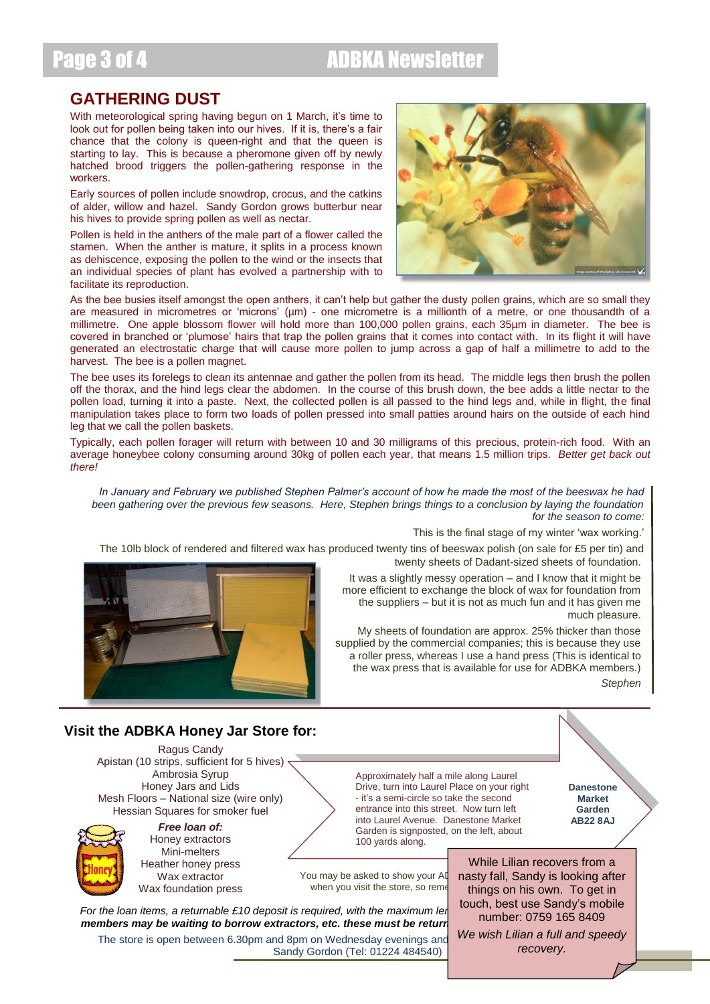# Page 3 of 4 **ADBKA Newsletter**

## **GATHERING DUST**

With meteorological spring having begun on 1 March, it's time to look out for pollen being taken into our hives. If it is, there's a fair chance that the colony is queen-right and that the queen is starting to lay. This is because a pheromone given off by newly hatched brood triggers the pollen-gathering response in the workers.

Early sources of pollen include snowdrop, crocus, and the catkins of alder, willow and hazel. Sandy Gordon grows butterbur near his hives to provide spring pollen as well as nectar.

Pollen is held in the anthers of the male part of a flower called the stamen. When the anther is mature, it splits in a process known as dehiscence, exposing the pollen to the wind or the insects that an individual species of plant has evolved a partnership with to facilitate its reproduction.



As the bee busies itself amongst the open anthers, it can't help but gather the dusty pollen grains, which are so small they are measured in micrometres or 'microns' (µm) - one micrometre is a millionth of a metre, or one thousandth of a millimetre. One apple blossom flower will hold more than 100,000 pollen grains, each 35µm in diameter. The bee is covered in branched or 'plumose' hairs that trap the pollen grains that it comes into contact with. In its flight it will have generated an electrostatic charge that will cause more pollen to jump across a gap of half a millimetre to add to the harvest. The bee is a pollen magnet.

The bee uses its forelegs to clean its antennae and gather the pollen from its head. The middle legs then brush the pollen off the thorax, and the hind legs clear the abdomen. In the course of this brush down, the bee adds a little nectar to the pollen load, turning it into a paste. Next, the collected pollen is all passed to the hind legs and, while in flight, the final manipulation takes place to form two loads of pollen pressed into small patties around hairs on the outside of each hind leg that we call the pollen baskets.

Typically, each pollen forager will return with between 10 and 30 milligrams of this precious, protein-rich food. With an average honeybee colony consuming around 30kg of pollen each year, that means 1.5 million trips. *Better get back out there!*

*In January and February we published Stephen Palmer's account of how he made the most of the beeswax he had been gathering over the previous few seasons. Here, Stephen brings things to a conclusion by laying the foundation for the season to come:*

This is the final stage of my winter 'wax working.'

twenty sheets of Dadant-sized sheets of foundation. The 10lb block of rendered and filtered wax has produced twenty tins of beeswax polish (on sale for £5 per tin) and

> It was a slightly messy operation – and I know that it might be more efficient to exchange the block of wax for foundation from the suppliers – but it is not as much fun and it has given me much pleasure.

> My sheets of foundation are approx. 25% thicker than those supplied by the commercial companies; this is because they use a roller press, whereas I use a hand press (This is identical to the wax press that is available for use for ADBKA members.)

*Stephen*

### **Visit the ADBKA Honey Jar Store for:**

Ragus Candy Apistan (10 strips, sufficient for 5 hives) Ambrosia Syrup Honey Jars and Lids Mesh Floors – National size (wire only) Hessian Squares for smoker fuel



*Free loan of:* Honey extractors Mini-melters Heather honey press Wax extractor Wax foundation press

Garden is signposted, on the left, about 100 yards along.

Approximately half a mile along Laurel Drive, turn into Laurel Place on your right - it's a semi-circle so take the second entrance into this street. Now turn left into Laurel Avenue. Danestone Market

**Danestone Market Garden AB22 8AJ**

You may be asked to show your AD when you visit the store, so reme

*For the loan items, a returnable £10 deposit is required, with the maximum lergth of two mengering two mengering two maximum lergering two mengering two mengering two maximum lergering two mengering two maximum lergering members may be waiting to borrow extractors, etc. these must be returned members may be waiting to borrow extractors, etc. these must be return* 

The store is open between 6.30pm and 8pm on Wednesday evenings and Sandy Gordon (Tel: 01224 484540)

While Lilian recovers from a nasty fall, Sandy is looking after things on his own. To get in touch, best use Sandy's mobile number: 0759 165 8409

*We wish Lilian a full and speedy recovery.*